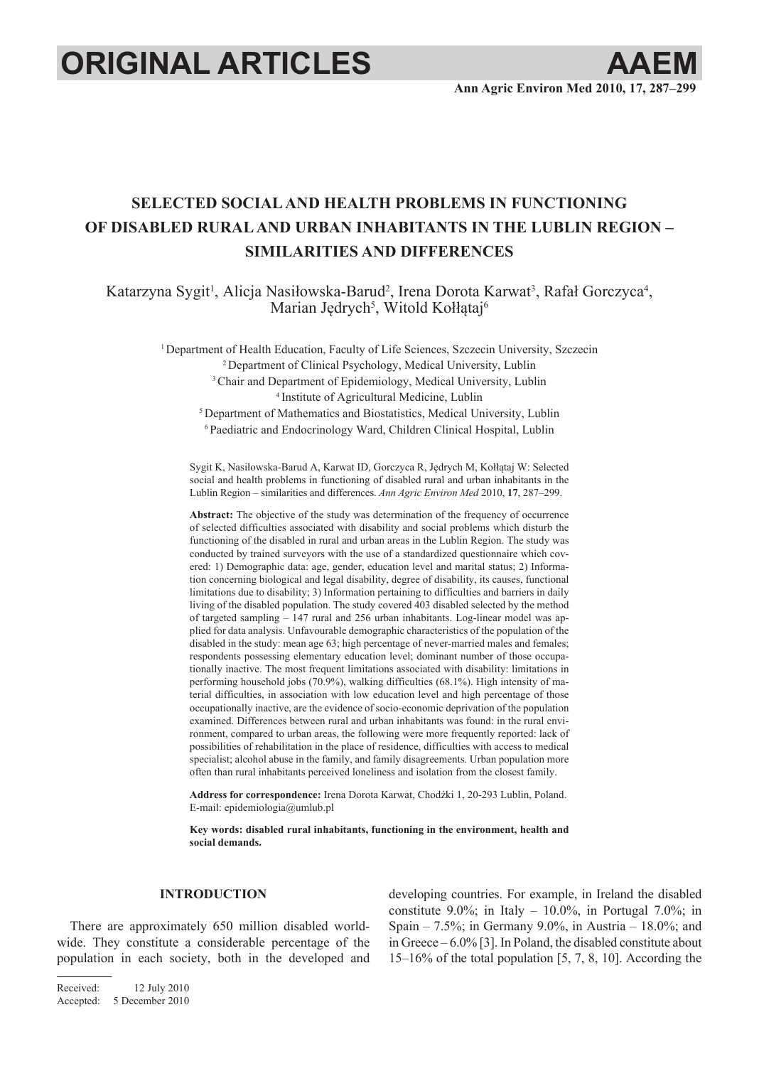# **ORIGINAL ARTICLES AAE**



# **Selected social and health problems in functioning of disabled rural and urban inhabitants in the Lublin Region – similarities and differences**

Katarzyna Sygit<sup>1</sup>, Alicja Nasiłowska-Barud<sup>2</sup>, Irena Dorota Karwat<sup>3</sup>, Rafał Gorczyca<sup>4</sup>, Marian Jędrych<sup>5</sup>, Witold Kołłątaj<sup>6</sup>

<sup>1</sup> Department of Health Education, Faculty of Life Sciences, Szczecin University, Szczecin

2 Department of Clinical Psychology, Medical University, Lublin

<sup>3</sup> Chair and Department of Epidemiology, Medical University, Lublin 4 Institute of Agricultural Medicine, Lublin

<sup>5</sup> Department of Mathematics and Biostatistics, Medical University, Lublin

6 Paediatric and Endocrinology Ward, Children Clinical Hospital, Lublin

Sygit K, Nasiłowska-Barud A, Karwat ID, Gorczyca R, Jędrych M, Kołłątaj W: Selected social and health problems in functioning of disabled rural and urban inhabitants in the Lublin Region – similarities and differences. *Ann Agric Environ Med* 2010, **17**, 287–299.

**Abstract:** The objective of the study was determination of the frequency of occurrence of selected difficulties associated with disability and social problems which disturb the functioning of the disabled in rural and urban areas in the Lublin Region. The study was conducted by trained surveyors with the use of a standardized questionnaire which covered: 1) Demographic data: age, gender, education level and marital status; 2) Information concerning biological and legal disability, degree of disability, its causes, functional limitations due to disability; 3) Information pertaining to difficulties and barriers in daily living of the disabled population. The study covered 403 disabled selected by the method of targeted sampling – 147 rural and 256 urban inhabitants. Log-linear model was applied for data analysis. Unfavourable demographic characteristics of the population of the disabled in the study: mean age 63; high percentage of never-married males and females; respondents possessing elementary education level; dominant number of those occupationally inactive. The most frequent limitations associated with disability: limitations in performing household jobs (70.9%), walking difficulties (68.1%). High intensity of material difficulties, in association with low education level and high percentage of those occupationally inactive, are the evidence of socio-economic deprivation of the population examined. Differences between rural and urban inhabitants was found: in the rural environment, compared to urban areas, the following were more frequently reported: lack of possibilities of rehabilitation in the place of residence, difficulties with access to medical specialist; alcohol abuse in the family, and family disagreements. Urban population more often than rural inhabitants perceived loneliness and isolation from the closest family.

**Address for correspondence:** Irena Dorota Karwat, Chodźki 1, 20-293 Lublin, Poland. E-mail: epidemiologia@umlub.pl

**Key words: disabled rural inhabitants, functioning in the environment, health and social demands.**

# **INTRODUCTION**

There are approximately 650 million disabled worldwide. They constitute a considerable percentage of the population in each society, both in the developed and

Received: 12 July 2010 Accepted: 5 December 2010

developing countries. For example, in Ireland the disabled constitute 9.0%; in Italy  $-10.0\%$ , in Portugal 7.0%; in Spain – 7.5%; in Germany 9.0%, in Austria – 18.0%; and in Greece – 6.0% [3]. In Poland, the disabled constitute about 15–16% of the total population [5, 7, 8, 10]. According the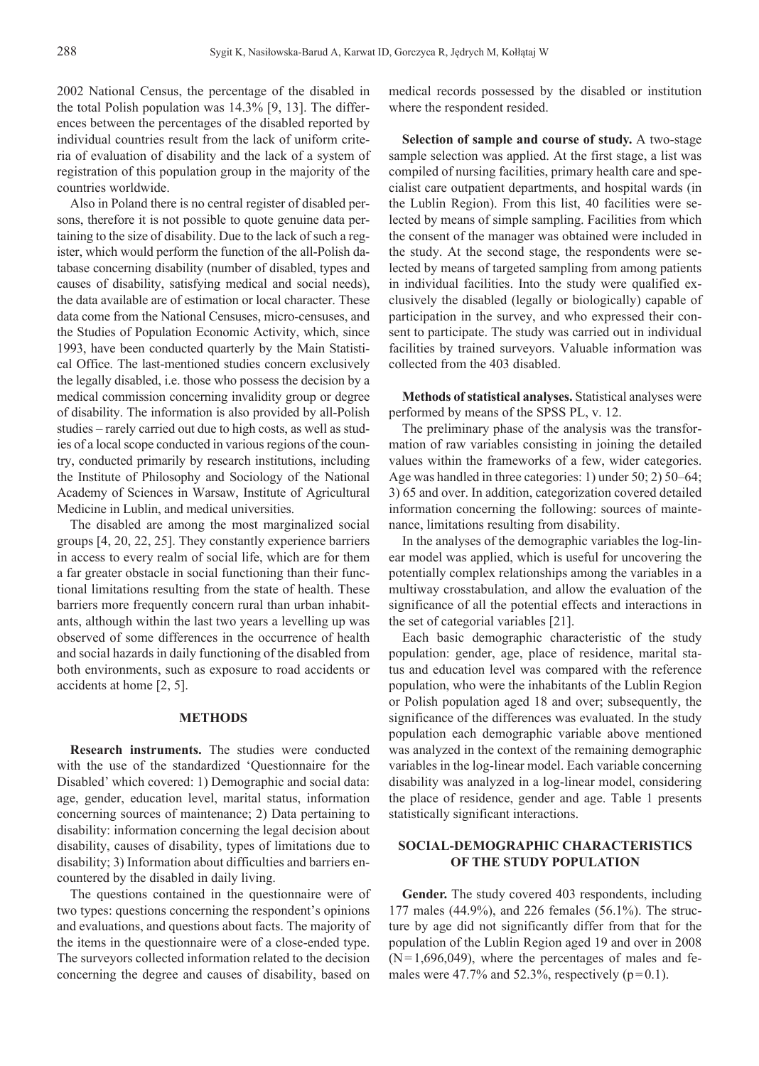2002 National Census, the percentage of the disabled in the total Polish population was 14.3% [9, 13]. The differences between the percentages of the disabled reported by individual countries result from the lack of uniform criteria of evaluation of disability and the lack of a system of registration of this population group in the majority of the countries worldwide.

Also in Poland there is no central register of disabled persons, therefore it is not possible to quote genuine data pertaining to the size of disability. Due to the lack of such a register, which would perform the function of the all-Polish database concerning disability (number of disabled, types and causes of disability, satisfying medical and social needs), the data available are of estimation or local character. These data come from the National Censuses, micro-censuses, and the Studies of Population Economic Activity, which, since 1993, have been conducted quarterly by the Main Statistical Office. The last-mentioned studies concern exclusively the legally disabled, i.e. those who possess the decision by a medical commission concerning invalidity group or degree of disability. The information is also provided by all-Polish studies – rarely carried out due to high costs, as well as studies of a local scope conducted in various regions of the country, conducted primarily by research institutions, including the Institute of Philosophy and Sociology of the National Academy of Sciences in Warsaw, Institute of Agricultural Medicine in Lublin, and medical universities.

The disabled are among the most marginalized social groups [4, 20, 22, 25]. They constantly experience barriers in access to every realm of social life, which are for them a far greater obstacle in social functioning than their functional limitations resulting from the state of health. These barriers more frequently concern rural than urban inhabitants, although within the last two years a levelling up was observed of some differences in the occurrence of health and social hazards in daily functioning of the disabled from both environments, such as exposure to road accidents or accidents at home [2, 5].

#### **METHODS**

**Research instruments.** The studies were conducted with the use of the standardized 'Questionnaire for the Disabled' which covered: 1) Demographic and social data: age, gender, education level, marital status, information concerning sources of maintenance; 2) Data pertaining to disability: information concerning the legal decision about disability, causes of disability, types of limitations due to disability; 3) Information about difficulties and barriers encountered by the disabled in daily living.

The questions contained in the questionnaire were of two types: questions concerning the respondent's opinions and evaluations, and questions about facts. The majority of the items in the questionnaire were of a close-ended type. The surveyors collected information related to the decision concerning the degree and causes of disability, based on

medical records possessed by the disabled or institution where the respondent resided.

**Selection of sample and course of study.** A two-stage sample selection was applied. At the first stage, a list was compiled of nursing facilities, primary health care and specialist care outpatient departments, and hospital wards (in the Lublin Region). From this list, 40 facilities were selected by means of simple sampling. Facilities from which the consent of the manager was obtained were included in the study. At the second stage, the respondents were selected by means of targeted sampling from among patients in individual facilities. Into the study were qualified exclusively the disabled (legally or biologically) capable of participation in the survey, and who expressed their consent to participate. The study was carried out in individual facilities by trained surveyors. Valuable information was collected from the 403 disabled.

**Methods of statistical analyses.** Statistical analyses were performed by means of the SPSS PL, v. 12.

The preliminary phase of the analysis was the transformation of raw variables consisting in joining the detailed values within the frameworks of a few, wider categories. Age was handled in three categories: 1) under 50; 2) 50–64; 3) 65 and over. In addition, categorization covered detailed information concerning the following: sources of maintenance, limitations resulting from disability.

In the analyses of the demographic variables the log-linear model was applied, which is useful for uncovering the potentially complex relationships among the variables in a multiway crosstabulation, and allow the evaluation of the significance of all the potential effects and interactions in the set of categorial variables [21].

Each basic demographic characteristic of the study population: gender, age, place of residence, marital status and education level was compared with the reference population, who were the inhabitants of the Lublin Region or Polish population aged 18 and over; subsequently, the significance of the differences was evaluated. In the study population each demographic variable above mentioned was analyzed in the context of the remaining demographic variables in the log-linear model. Each variable concerning disability was analyzed in a log-linear model, considering the place of residence, gender and age. Table 1 presents statistically significant interactions.

# **Social-demographic characteristics of the study population**

**Gender.** The study covered 403 respondents, including 177 males (44.9%), and 226 females (56.1%). The structure by age did not significantly differ from that for the population of the Lublin Region aged 19 and over in 2008  $(N=1,696,049)$ , where the percentages of males and females were 47.7% and 52.3%, respectively  $(p=0.1)$ .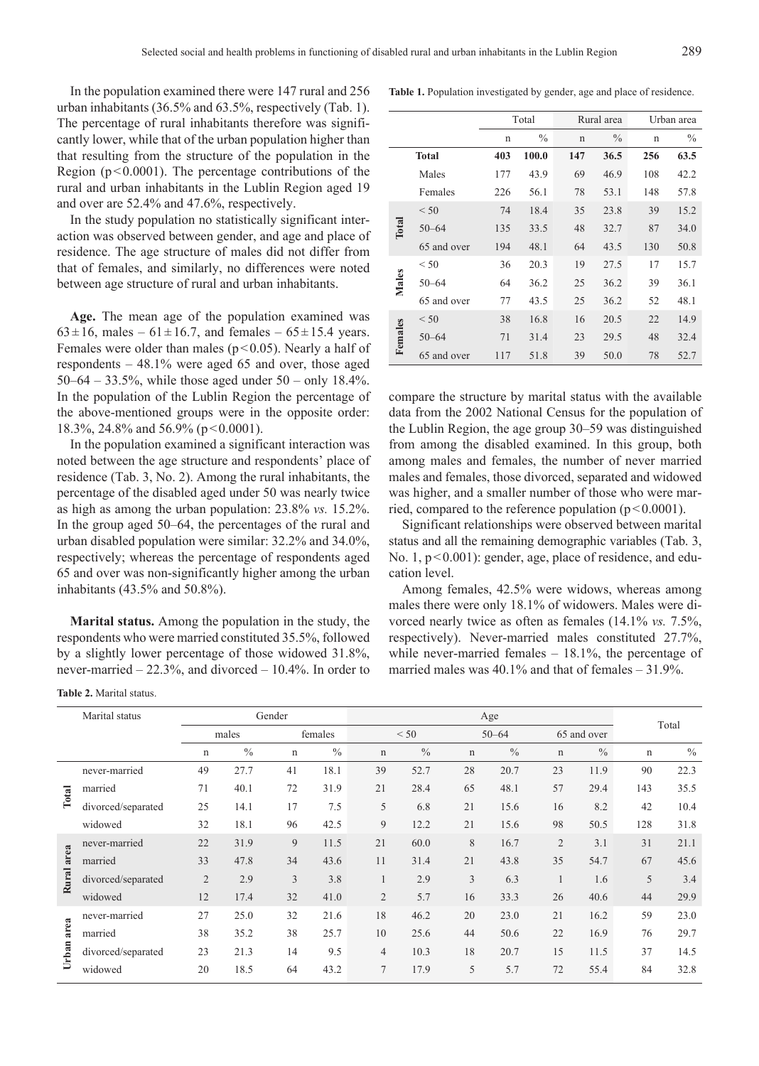In the population examined there were 147 rural and 256 urban inhabitants (36.5% and 63.5%, respectively (Tab. 1). The percentage of rural inhabitants therefore was significantly lower, while that of the urban population higher than that resulting from the structure of the population in the Region ( $p < 0.0001$ ). The percentage contributions of the rural and urban inhabitants in the Lublin Region aged 19 and over are 52.4% and 47.6%, respectively.

In the study population no statistically significant interaction was observed between gender, and age and place of residence. The age structure of males did not differ from that of females, and similarly, no differences were noted between age structure of rural and urban inhabitants.

**Age.** The mean age of the population examined was  $63 \pm 16$ , males –  $61 \pm 16.7$ , and females –  $65 \pm 15.4$  years. Females were older than males ( $p$ <0.05). Nearly a half of respondents – 48.1% were aged 65 and over, those aged 50–64 – 33.5%, while those aged under 50 – only 18.4%. In the population of the Lublin Region the percentage of the above-mentioned groups were in the opposite order: 18.3%, 24.8% and 56.9% (p < 0.0001).

In the population examined a significant interaction was noted between the age structure and respondents' place of residence (Tab. 3, No. 2). Among the rural inhabitants, the percentage of the disabled aged under 50 was nearly twice as high as among the urban population: 23.8% *vs.* 15.2%. In the group aged 50–64, the percentages of the rural and urban disabled population were similar: 32.2% and 34.0%, respectively; whereas the percentage of respondents aged 65 and over was non-significantly higher among the urban inhabitants (43.5% and 50.8%).

**Marital status.** Among the population in the study, the respondents who were married constituted 35.5%, followed by a slightly lower percentage of those widowed 31.8%, never-married – 22.3%, and divorced – 10.4%. In order to

**Table 2.** Marital status.

| Table 1. Population investigated by gender, age and place of residence. |  |
|-------------------------------------------------------------------------|--|
|-------------------------------------------------------------------------|--|

|              |              |     | Total         |             | Rural area    | Urban area  |               |  |
|--------------|--------------|-----|---------------|-------------|---------------|-------------|---------------|--|
|              |              | n   | $\frac{0}{0}$ | $\mathbf n$ | $\frac{0}{0}$ | $\mathbf n$ | $\frac{0}{0}$ |  |
|              | <b>Total</b> | 403 | 100.0         | 147         | 36.5          | 256         | 63.5          |  |
|              | Males        | 177 | 43.9          | 69          | 46.9          | 108         | 42.2          |  |
|              | Females      | 226 | 56.1          | 78          | 53.1          | 148         | 57.8          |  |
|              | < 50         | 74  | 18.4          | 35          | 23.8          | 39          | 15.2          |  |
| <b>Total</b> | $50 - 64$    | 135 | 33.5          | 48          | 32.7          | 87          | 34.0          |  |
|              | 65 and over  | 194 | 48.1          | 64          | 43.5          | 130         | 50.8          |  |
|              | < 50         | 36  | 20.3          | 19          | 27.5          | 17          | 15.7          |  |
| Males        | $50 - 64$    | 64  | 36.2          | 25          | 36.2          | 39          | 36.1          |  |
|              | 65 and over  | 77  | 43.5          | 25          | 36.2          | 52          | 48.1          |  |
|              | < 50         | 38  | 16.8          | 16          | 20.5          | 22          | 14.9          |  |
| Females      | $50 - 64$    | 71  | 31.4          | 23          | 29.5          | 48          | 32.4          |  |
|              | 65 and over  | 117 | 51.8          | 39          | 50.0          | 78          | 52.7          |  |

compare the structure by marital status with the available data from the 2002 National Census for the population of the Lublin Region, the age group 30–59 was distinguished from among the disabled examined. In this group, both among males and females, the number of never married males and females, those divorced, separated and widowed was higher, and a smaller number of those who were married, compared to the reference population  $(p<0.0001)$ .

Significant relationships were observed between marital status and all the remaining demographic variables (Tab. 3, No. 1,  $p < 0.001$ ): gender, age, place of residence, and education level.

Among females, 42.5% were widows, whereas among males there were only 18.1% of widowers. Males were divorced nearly twice as often as females (14.1% *vs.* 7.5%, respectively). Never-married males constituted 27.7%, while never-married females  $-18.1\%$ , the percentage of married males was 40.1% and that of females – 31.9%.

|       | Marital status     |                |               | Gender |               |                |               |             | Total         |                |               |             |               |
|-------|--------------------|----------------|---------------|--------|---------------|----------------|---------------|-------------|---------------|----------------|---------------|-------------|---------------|
|       |                    |                | males         |        | females       |                | < 50          |             | $50 - 64$     |                | 65 and over   |             |               |
|       |                    | n              | $\frac{0}{0}$ | n      | $\frac{0}{0}$ | $\mathbf n$    | $\frac{0}{0}$ | $\mathbf n$ | $\frac{0}{0}$ | $\mathbf n$    | $\frac{0}{0}$ | $\mathbf n$ | $\frac{0}{0}$ |
|       | never-married      | 49             | 27.7          | 41     | 18.1          | 39             | 52.7          | 28          | 20.7          | 23             | 11.9          | 90          | 22.3          |
| Total | married            | 71             | 40.1          | 72     | 31.9          | 21             | 28.4          | 65          | 48.1          | 57             | 29.4          | 143         | 35.5          |
|       | divorced/separated | 25             | 14.1          | 17     | 7.5           | 5              | 6.8           | 21          | 15.6          | 16             | 8.2           | 42          | 10.4          |
|       | widowed            | 32             | 18.1          | 96     | 42.5          | 9              | 12.2          | 21          | 15.6          | 98             | 50.5          | 128         | 31.8          |
|       | never-married      | 22             | 31.9          | 9      | 11.5          | 21             | 60.0          | 8           | 16.7          | $\overline{2}$ | 3.1           | 31          | 21.1          |
| area  | married            | 33             | 47.8          | 34     | 43.6          | 11             | 31.4          | 21          | 43.8          | 35             | 54.7          | 67          | 45.6          |
| Rural | divorced/separated | $\overline{2}$ | 2.9           | 3      | 3.8           |                | 2.9           | 3           | 6.3           |                | 1.6           | 5           | 3.4           |
|       | widowed            | 12             | 17.4          | 32     | 41.0          | $\overline{2}$ | 5.7           | 16          | 33.3          | 26             | 40.6          | 44          | 29.9          |
|       | never-married      | 27             | 25.0          | 32     | 21.6          | 18             | 46.2          | 20          | 23.0          | 21             | 16.2          | 59          | 23.0          |
| area  | married            | 38             | 35.2          | 38     | 25.7          | 10             | 25.6          | 44          | 50.6          | 22             | 16.9          | 76          | 29.7          |
| Urban | divorced/separated | 23             | 21.3          | 14     | 9.5           | $\overline{4}$ | 10.3          | 18          | 20.7          | 15             | 11.5          | 37          | 14.5          |
|       | widowed            | 20             | 18.5          | 64     | 43.2          | $\tau$         | 17.9          | 5           | 5.7           | 72             | 55.4          | 84          | 32.8          |
|       |                    |                |               |        |               |                |               |             |               |                |               |             |               |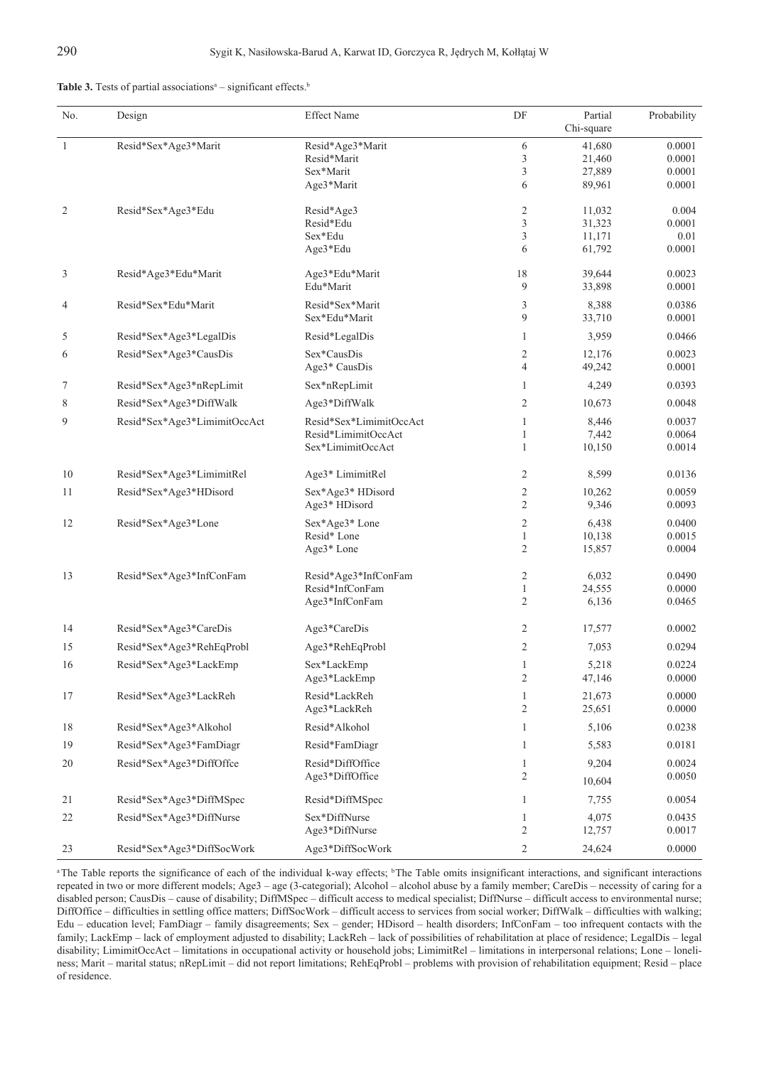| No.            | Design                       | <b>Effect Name</b>                                        | DF                                                        | Partial<br>Chi-square      | Probability                |
|----------------|------------------------------|-----------------------------------------------------------|-----------------------------------------------------------|----------------------------|----------------------------|
| $\mathbf{1}$   | Resid*Sex*Age3*Marit         | Resid*Age3*Marit<br>Resid*Marit                           | 6<br>3                                                    | 41,680<br>21,460           | 0.0001<br>0.0001           |
|                |                              | Sex*Marit<br>Age3*Marit                                   | 3<br>6                                                    | 27,889<br>89,961           | 0.0001<br>0.0001           |
| $\overline{c}$ | Resid*Sex*Age3*Edu           | Resid*Age3<br>Resid*Edu                                   | $\overline{c}$<br>3                                       | 11,032                     | 0.004<br>0.0001            |
|                |                              | Sex*Edu<br>Age3*Edu                                       | 3<br>6                                                    | 31,323<br>11,171<br>61,792 | 0.01<br>0.0001             |
| 3              | Resid*Age3*Edu*Marit         | Age3*Edu*Marit<br>Edu*Marit                               | 18<br>9                                                   | 39,644<br>33,898           | 0.0023<br>0.0001           |
| 4              | Resid*Sex*Edu*Marit          | Resid*Sex*Marit<br>Sex*Edu*Marit                          | 3<br>9                                                    | 8,388<br>33,710            | 0.0386<br>0.0001           |
| 5              | Resid*Sex*Age3*LegalDis      | Resid*LegalDis                                            | $\mathbf{1}$                                              | 3,959                      | 0.0466                     |
| 6              | Resid*Sex*Age3*CausDis       | Sex*CausDis<br>Age <sup>3*</sup> CausDis                  | 2<br>$\overline{4}$                                       | 12,176<br>49,242           | 0.0023<br>0.0001           |
| 7              | Resid*Sex*Age3*nRepLimit     | Sex*nRepLimit                                             | 1                                                         | 4,249                      | 0.0393                     |
| 8              | Resid*Sex*Age3*DiffWalk      | Age3*DiffWalk                                             | $\mathfrak{2}$                                            | 10,673                     | 0.0048                     |
| 9              | Resid*Sex*Age3*LimimitOccAct | Resid*Sex*LimimitOccAct                                   | $\mathbf{1}$                                              | 8,446                      | 0.0037                     |
|                |                              | Resid*LimimitOccAct<br>Sex*LimimitOccAct                  | $\mathbf{1}$<br>$\mathbf{1}$                              | 7,442<br>10,150            | 0.0064<br>0.0014           |
| 10             | Resid*Sex*Age3*LimimitRel    | Age3* LimimitRel                                          | 2                                                         | 8,599                      | 0.0136                     |
| 11             | Resid*Sex*Age3*HDisord       | Sex*Age3* HDisord<br>Age3* HDisord                        | $\overline{\mathbf{c}}$<br>$\mathfrak{2}$                 | 10,262<br>9,346            | 0.0059<br>0.0093           |
| 12             | Resid*Sex*Age3*Lone          | Sex*Age3* Lone<br>Resid* Lone<br>Age3* Lone               | $\overline{\mathbf{c}}$<br>$\mathbf{1}$<br>$\overline{c}$ | 6,438<br>10,138<br>15,857  | 0.0400<br>0.0015<br>0.0004 |
| 13             | Resid*Sex*Age3*InfConFam     | Resid*Age3*InfConFam<br>Resid*InfConFam<br>Age3*InfConFam | $\overline{\mathbf{c}}$<br>$\mathbf{1}$<br>$\overline{c}$ | 6,032<br>24,555<br>6,136   | 0.0490<br>0.0000<br>0.0465 |
| 14             | Resid*Sex*Age3*CareDis       | Age3*CareDis                                              | 2                                                         | 17,577                     | 0.0002                     |
| 15             | Resid*Sex*Age3*RehEqProbl    | Age3*RehEqProbl                                           | $\mathfrak{2}$                                            | 7,053                      | 0.0294                     |
| 16             | Resid*Sex*Age3*LackEmp       | Sex*LackEmp<br>Age3*LackEmp                               | $\mathbf{1}$<br>$\mathfrak{2}$                            | 5,218<br>47,146            | 0.0224<br>0.0000           |
| 17             | Resid*Sex*Age3*LackReh       | Resid*LackReh<br>Age3*LackReh                             | 1<br>2                                                    | 21,673<br>25,651           | 0.0000<br>0.0000           |
| 18             | Resid*Sex*Age3*Alkohol       | Resid*Alkohol                                             | 1                                                         | 5,106                      | 0.0238                     |
| 19             | Resid*Sex*Age3*FamDiagr      | Resid*FamDiagr                                            | 1                                                         | 5,583                      | 0.0181                     |
| 20             | Resid*Sex*Age3*DiffOffce     | Resid*DiffOffice<br>Age3*DiffOffice                       | $\mathbf{1}$<br>2                                         | 9,204<br>10,604            | 0.0024<br>0.0050           |
| 21             | Resid*Sex*Age3*DiffMSpec     | Resid*DiffMSpec                                           | 1                                                         | 7,755                      | 0.0054                     |
| 22             | Resid*Sex*Age3*DiffNurse     | Sex*DiffNurse                                             | $\mathbf{1}$                                              | 4,075                      | 0.0435                     |
| 23             | Resid*Sex*Age3*DiffSocWork   | Age3*DiffNurse<br>Age3*DiffSocWork                        | $\sqrt{2}$<br>$\mathbf{2}$                                | 12,757<br>24,624           | 0.0017<br>0.0000           |

<sup>a</sup>The Table reports the significance of each of the individual k-way effects; <sup>b</sup>The Table omits insignificant interactions, and significant interactions repeated in two or more different models; Age3 – age (3-categorial); Alcohol – alcohol abuse by a family member; CareDis – necessity of caring for a disabled person; CausDis – cause of disability; DiffMSpec – difficult access to medical specialist; DiffNurse – difficult access to environmental nurse; DiffOffice – difficulties in settling office matters; DiffSocWork – difficult access to services from social worker; DiffWalk – difficulties with walking; Edu – education level; FamDiagr – family disagreements; Sex – gender; HDisord – health disorders; InfConFam – too infrequent contacts with the family; LackEmp – lack of employment adjusted to disability; LackReh – lack of possibilities of rehabilitation at place of residence; LegalDis – legal disability; LimimitOccAct – limitations in occupational activity or household jobs; LimimitRel – limitations in interpersonal relations; Lone – loneliness; Marit – marital status; nRepLimit – did not report limitations; RehEqProbl – problems with provision of rehabilitation equipment; Resid – place of residence.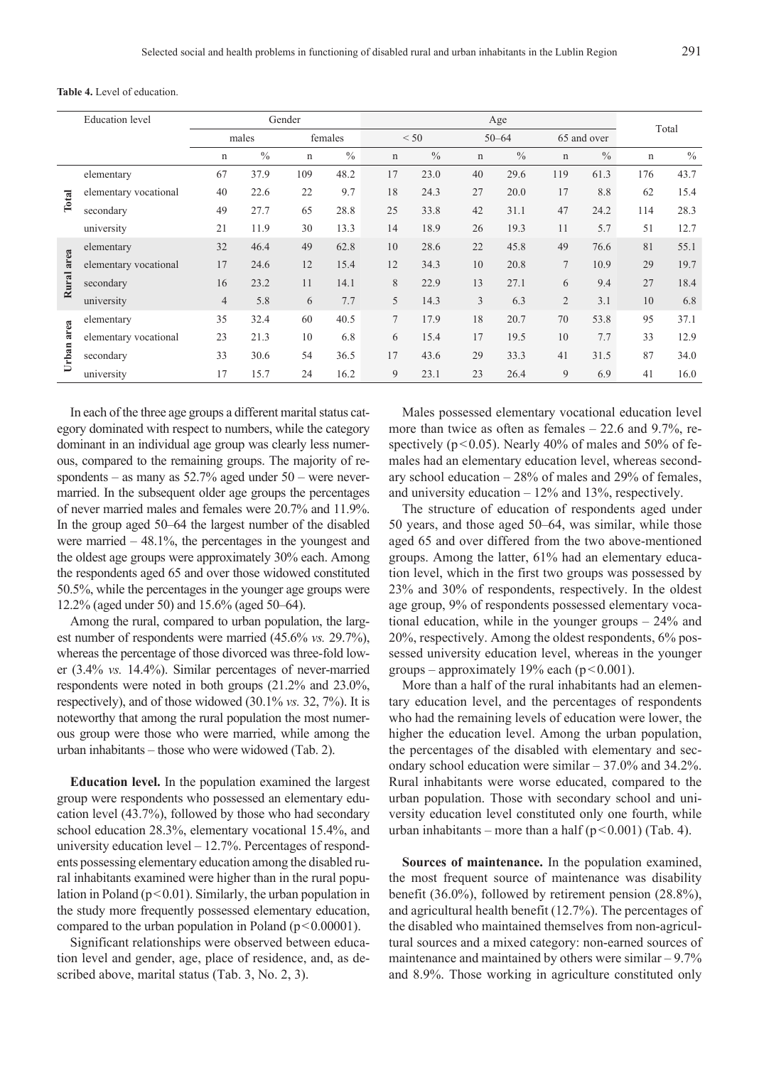|            | <b>Education</b> level | Gender<br>Age  |       |             |               |             |               |             |               | Total          |               |             |               |
|------------|------------------------|----------------|-------|-------------|---------------|-------------|---------------|-------------|---------------|----------------|---------------|-------------|---------------|
|            |                        |                | males |             | females       |             | < 50          |             | $50 - 64$     |                | 65 and over   |             |               |
|            |                        | $\mathbf n$    | $\%$  | $\mathbf n$ | $\frac{0}{0}$ | $\mathbf n$ | $\frac{0}{0}$ | $\mathbf n$ | $\frac{0}{0}$ | $\mathbf n$    | $\frac{0}{0}$ | $\mathbf n$ | $\frac{0}{0}$ |
|            | elementary             | 67             | 37.9  | 109         | 48.2          | 17          | 23.0          | 40          | 29.6          | 119            | 61.3          | 176         | 43.7          |
| Total      | elementary vocational  | 40             | 22.6  | 22          | 9.7           | 18          | 24.3          | 27          | 20.0          | 17             | 8.8           | 62          | 15.4          |
|            | secondary              | 49             | 27.7  | 65          | 28.8          | 25          | 33.8          | 42          | 31.1          | 47             | 24.2          | 114         | 28.3          |
|            | university             | 21             | 11.9  | 30          | 13.3          | 14          | 18.9          | 26          | 19.3          | 11             | 5.7           | 51          | 12.7          |
|            | elementary             | 32             | 46.4  | 49          | 62.8          | 10          | 28.6          | 22          | 45.8          | 49             | 76.6          | 81          | 55.1          |
| area       | elementary vocational  | 17             | 24.6  | 12          | 15.4          | 12          | 34.3          | 10          | 20.8          | 7              | 10.9          | 29          | 19.7          |
| Rural      | secondary              | 16             | 23.2  | 11          | 14.1          | 8           | 22.9          | 13          | 27.1          | 6              | 9.4           | 27          | 18.4          |
|            | university             | $\overline{4}$ | 5.8   | 6           | 7.7           | 5           | 14.3          | 3           | 6.3           | $\overline{2}$ | 3.1           | 10          | 6.8           |
|            | elementary             | 35             | 32.4  | 60          | 40.5          | $\tau$      | 17.9          | 18          | 20.7          | 70             | 53.8          | 95          | 37.1          |
| Urban area | elementary vocational  | 23             | 21.3  | 10          | 6.8           | 6           | 15.4          | 17          | 19.5          | 10             | 7.7           | 33          | 12.9          |
|            | secondary              | 33             | 30.6  | 54          | 36.5          | 17          | 43.6          | 29          | 33.3          | 41             | 31.5          | 87          | 34.0          |
|            | university             | 17             | 15.7  | 24          | 16.2          | 9           | 23.1          | 23          | 26.4          | 9              | 6.9           | 41          | 16.0          |

In each of the three age groups a different marital status category dominated with respect to numbers, while the category dominant in an individual age group was clearly less numerous, compared to the remaining groups. The majority of respondents – as many as 52.7% aged under 50 – were nevermarried. In the subsequent older age groups the percentages of never married males and females were 20.7% and 11.9%. In the group aged 50–64 the largest number of the disabled were married  $-48.1\%$ , the percentages in the youngest and the oldest age groups were approximately 30% each. Among the respondents aged 65 and over those widowed constituted 50.5%, while the percentages in the younger age groups were 12.2% (aged under 50) and 15.6% (aged 50–64).

Among the rural, compared to urban population, the largest number of respondents were married (45.6% *vs.* 29.7%), whereas the percentage of those divorced was three-fold lower (3.4% *vs.* 14.4%). Similar percentages of never-married respondents were noted in both groups (21.2% and 23.0%, respectively), and of those widowed (30.1% *vs.* 32, 7%). It is noteworthy that among the rural population the most numerous group were those who were married, while among the urban inhabitants – those who were widowed (Tab. 2).

**Education level.** In the population examined the largest group were respondents who possessed an elementary education level (43.7%), followed by those who had secondary school education 28.3%, elementary vocational 15.4%, and university education level – 12.7%. Percentages of respondents possessing elementary education among the disabled rural inhabitants examined were higher than in the rural population in Poland ( $p < 0.01$ ). Similarly, the urban population in the study more frequently possessed elementary education, compared to the urban population in Poland  $(p<0.00001)$ .

Significant relationships were observed between education level and gender, age, place of residence, and, as described above, marital status (Tab. 3, No. 2, 3).

Males possessed elementary vocational education level more than twice as often as females  $-22.6$  and 9.7%, respectively ( $p < 0.05$ ). Nearly 40% of males and 50% of females had an elementary education level, whereas secondary school education – 28% of males and 29% of females, and university education – 12% and 13%, respectively.

The structure of education of respondents aged under 50 years, and those aged 50–64, was similar, while those aged 65 and over differed from the two above-mentioned groups. Among the latter, 61% had an elementary education level, which in the first two groups was possessed by 23% and 30% of respondents, respectively. In the oldest age group, 9% of respondents possessed elementary vocational education, while in the younger groups – 24% and 20%, respectively. Among the oldest respondents, 6% possessed university education level, whereas in the younger groups – approximately 19% each  $(p<0.001)$ .

More than a half of the rural inhabitants had an elementary education level, and the percentages of respondents who had the remaining levels of education were lower, the higher the education level. Among the urban population, the percentages of the disabled with elementary and secondary school education were similar – 37.0% and 34.2%. Rural inhabitants were worse educated, compared to the urban population. Those with secondary school and university education level constituted only one fourth, while urban inhabitants – more than a half ( $p < 0.001$ ) (Tab. 4).

**Sources of maintenance.** In the population examined, the most frequent source of maintenance was disability benefit (36.0%), followed by retirement pension (28.8%), and agricultural health benefit (12.7%). The percentages of the disabled who maintained themselves from non-agricultural sources and a mixed category: non-earned sources of maintenance and maintained by others were similar – 9.7% and 8.9%. Those working in agriculture constituted only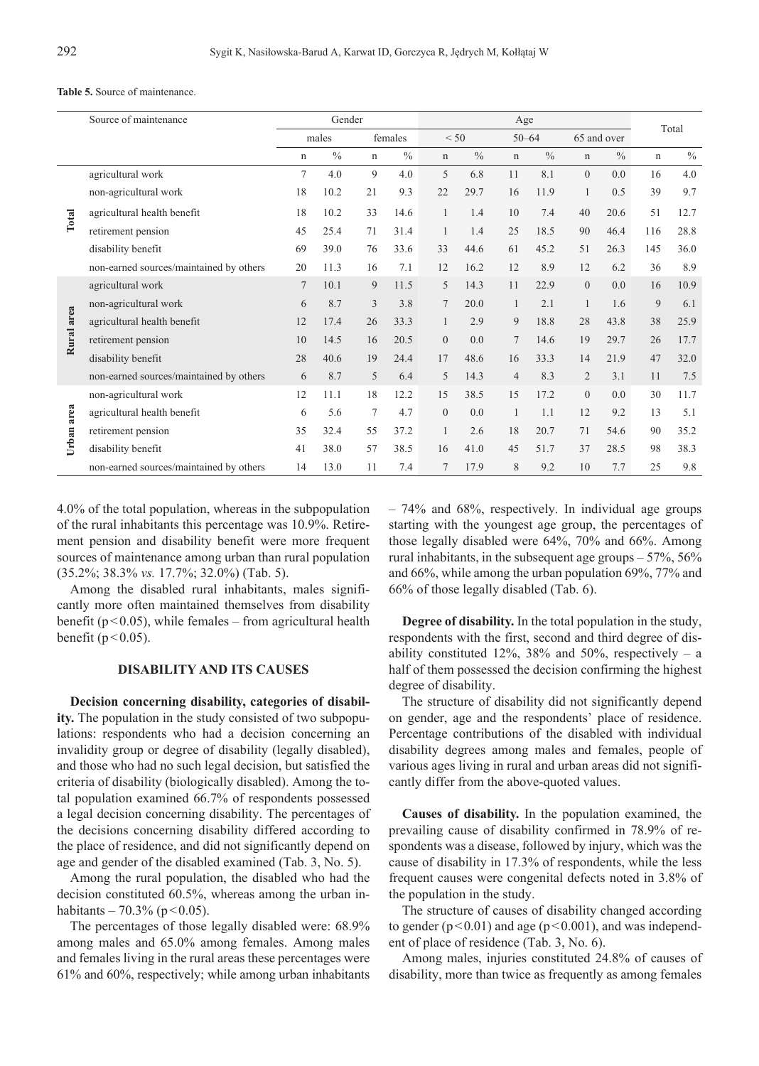#### **Table 5.** Source of maintenance.

|            | Source of maintenance                   |                | Gender        |             |               | Age            |               |                |               |                |               |             | Total         |
|------------|-----------------------------------------|----------------|---------------|-------------|---------------|----------------|---------------|----------------|---------------|----------------|---------------|-------------|---------------|
|            |                                         |                | males         |             | females       |                | < 50          |                | $50 - 64$     |                | 65 and over   |             |               |
|            |                                         | n              | $\frac{0}{0}$ | $\mathbf n$ | $\frac{0}{0}$ | $\mathbf n$    | $\frac{0}{0}$ | $\mathbf n$    | $\frac{0}{0}$ | $\mathbf n$    | $\frac{0}{0}$ | $\mathbf n$ | $\frac{0}{0}$ |
|            | agricultural work                       | $\tau$         | 4.0           | 9           | 4.0           | 5              | 6.8           | 11             | 8.1           | $\overline{0}$ | 0.0           | 16          | 4.0           |
|            | non-agricultural work                   | 18             | 10.2          | 21          | 9.3           | 22             | 29.7          | 16             | 11.9          | 1              | 0.5           | 39          | 9.7           |
| Total      | agricultural health benefit             | 18             | 10.2          | 33          | 14.6          | $\mathbf{1}$   | 1.4           | 10             | 7.4           | 40             | 20.6          | 51          | 12.7          |
|            | retirement pension                      | 45             | 25.4          | 71          | 31.4          | $\mathbf{1}$   | 1.4           | 25             | 18.5          | 90             | 46.4          | 116         | 28.8          |
|            | disability benefit                      | 69             | 39.0          | 76          | 33.6          | 33             | 44.6          | 61             | 45.2          | 51             | 26.3          | 145         | 36.0          |
|            | non-earned sources/maintained by others | 20             | 11.3          | 16          | 7.1           | 12             | 16.2          | 12             | 8.9           | 12             | 6.2           | 36          | 8.9           |
|            | agricultural work                       | $\overline{7}$ | 10.1          | 9           | 11.5          | 5              | 14.3          | 11             | 22.9          | $\overline{0}$ | 0.0           | 16          | 10.9          |
|            | non-agricultural work                   | 6              | 8.7           | 3           | 3.8           | $\overline{7}$ | 20.0          | 1              | 2.1           | 1              | 1.6           | 9           | 6.1           |
|            | agricultural health benefit             | 12             | 17.4          | 26          | 33.3          |                | 2.9           | 9              | 18.8          | 28             | 43.8          | 38          | 25.9          |
| Rural area | retirement pension                      | 10             | 14.5          | 16          | 20.5          | $\Omega$       | 0.0           | $\overline{7}$ | 14.6          | 19             | 29.7          | 26          | 17.7          |
|            | disability benefit                      | 28             | 40.6          | 19          | 24.4          | 17             | 48.6          | 16             | 33.3          | 14             | 21.9          | 47          | 32.0          |
|            | non-earned sources/maintained by others | 6              | 8.7           | 5           | 6.4           | 5              | 14.3          | $\overline{4}$ | 8.3           | $\overline{2}$ | 3.1           | 11          | 7.5           |
|            | non-agricultural work                   | 12             | 11.1          | 18          | 12.2          | 15             | 38.5          | 15             | 17.2          | $\theta$       | 0.0           | 30          | 11.7          |
|            | agricultural health benefit             | 6              | 5.6           | 7           | 4.7           | $\mathbf{0}$   | 0.0           | 1              | 1.1           | 12             | 9.2           | 13          | 5.1           |
| Urban area | retirement pension                      | 35             | 32.4          | 55          | 37.2          | $\mathbf{1}$   | 2.6           | 18             | 20.7          | 71             | 54.6          | 90          | 35.2          |
|            | disability benefit                      | 41             | 38.0          | 57          | 38.5          | 16             | 41.0          | 45             | 51.7          | 37             | 28.5          | 98          | 38.3          |
|            | non-earned sources/maintained by others | 14             | 13.0          | 11          | 7.4           | $\overline{7}$ | 17.9          | 8              | 9.2           | 10             | 7.7           | 25          | 9.8           |

4.0% of the total population, whereas in the subpopulation of the rural inhabitants this percentage was 10.9%. Retirement pension and disability benefit were more frequent sources of maintenance among urban than rural population (35.2%; 38.3% *vs.* 17.7%; 32.0%) (Tab. 5).

Among the disabled rural inhabitants, males significantly more often maintained themselves from disability benefit ( $p < 0.05$ ), while females – from agricultural health benefit ( $p < 0.05$ ).

### **Disability and its causes**

**Decision concerning disability, categories of disability.** The population in the study consisted of two subpopulations: respondents who had a decision concerning an invalidity group or degree of disability (legally disabled), and those who had no such legal decision, but satisfied the criteria of disability (biologically disabled). Among the total population examined 66.7% of respondents possessed a legal decision concerning disability. The percentages of the decisions concerning disability differed according to the place of residence, and did not significantly depend on age and gender of the disabled examined (Tab. 3, No. 5).

Among the rural population, the disabled who had the decision constituted 60.5%, whereas among the urban inhabitants – 70.3% (p < 0.05).

The percentages of those legally disabled were: 68.9% among males and 65.0% among females. Among males and females living in the rural areas these percentages were 61% and 60%, respectively; while among urban inhabitants – 74% and 68%, respectively. In individual age groups starting with the youngest age group, the percentages of those legally disabled were 64%, 70% and 66%. Among rural inhabitants, in the subsequent age groups – 57%, 56% and 66%, while among the urban population 69%, 77% and 66% of those legally disabled (Tab. 6).

**Degree of disability.** In the total population in the study, respondents with the first, second and third degree of disability constituted  $12\%$ ,  $38\%$  and  $50\%$ , respectively – a half of them possessed the decision confirming the highest degree of disability.

The structure of disability did not significantly depend on gender, age and the respondents' place of residence. Percentage contributions of the disabled with individual disability degrees among males and females, people of various ages living in rural and urban areas did not significantly differ from the above-quoted values.

**Causes of disability.** In the population examined, the prevailing cause of disability confirmed in 78.9% of respondents was a disease, followed by injury, which was the cause of disability in 17.3% of respondents, while the less frequent causes were congenital defects noted in 3.8% of the population in the study.

The structure of causes of disability changed according to gender  $(p<0.01)$  and age  $(p<0.001)$ , and was independent of place of residence (Tab. 3, No. 6).

Among males, injuries constituted 24.8% of causes of disability, more than twice as frequently as among females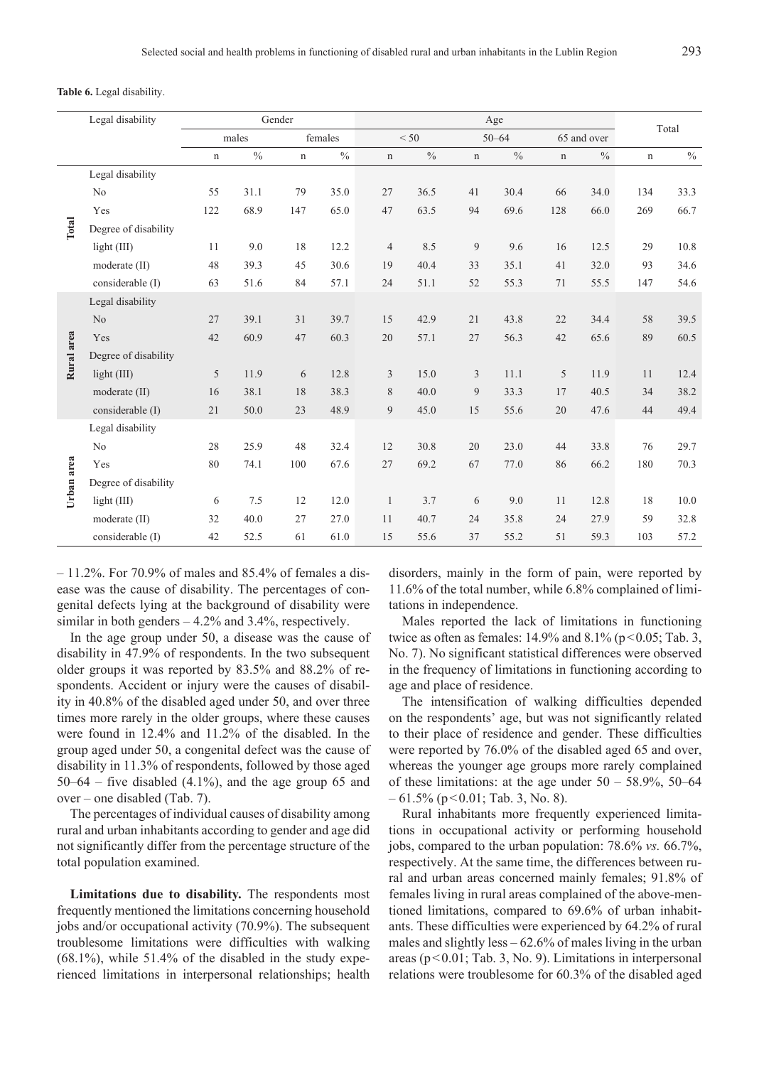**Table 6.** Legal disability.

|            | Legal disability     |             |       | Gender      |         | Age            |               |             |           |             |               | Total       |      |
|------------|----------------------|-------------|-------|-------------|---------|----------------|---------------|-------------|-----------|-------------|---------------|-------------|------|
|            |                      |             | males |             | females |                | < 50          |             | $50 - 64$ |             | 65 and over   |             |      |
|            |                      | $\mathbf n$ | $\%$  | $\mathbf n$ | $\%$    | $\mathbf n$    | $\frac{0}{0}$ | $\mathbf n$ | $\%$      | $\mathbf n$ | $\frac{0}{0}$ | $\mathbf n$ | $\%$ |
|            | Legal disability     |             |       |             |         |                |               |             |           |             |               |             |      |
|            | No                   | 55          | 31.1  | 79          | 35.0    | 27             | 36.5          | 41          | 30.4      | 66          | 34.0          | 134         | 33.3 |
|            | Yes                  | 122         | 68.9  | 147         | 65.0    | 47             | 63.5          | 94          | 69.6      | 128         | 66.0          | 269         | 66.7 |
| Total      | Degree of disability |             |       |             |         |                |               |             |           |             |               |             |      |
|            | light $(III)$        | 11          | 9.0   | 18          | 12.2    | $\overline{4}$ | 8.5           | 9           | 9.6       | 16          | 12.5          | 29          | 10.8 |
|            | moderate (II)        | 48          | 39.3  | 45          | 30.6    | 19             | 40.4          | 33          | 35.1      | 41          | 32.0          | 93          | 34.6 |
|            | considerable (I)     | 63          | 51.6  | 84          | 57.1    | 24             | 51.1          | 52          | 55.3      | 71          | 55.5          | 147         | 54.6 |
|            | Legal disability     |             |       |             |         |                |               |             |           |             |               |             |      |
|            | No                   | 27          | 39.1  | 31          | 39.7    | 15             | 42.9          | 21          | 43.8      | 22          | 34.4          | 58          | 39.5 |
|            | Yes                  | 42          | 60.9  | 47          | 60.3    | 20             | 57.1          | 27          | 56.3      | 42          | 65.6          | 89          | 60.5 |
| Rural area | Degree of disability |             |       |             |         |                |               |             |           |             |               |             |      |
|            | light (III)          | 5           | 11.9  | 6           | 12.8    | 3              | 15.0          | 3           | 11.1      | 5           | 11.9          | 11          | 12.4 |
|            | moderate (II)        | 16          | 38.1  | 18          | 38.3    | 8              | 40.0          | 9           | 33.3      | 17          | 40.5          | 34          | 38.2 |
|            | considerable (I)     | 21          | 50.0  | 23          | 48.9    | 9              | 45.0          | 15          | 55.6      | 20          | 47.6          | 44          | 49.4 |
|            | Legal disability     |             |       |             |         |                |               |             |           |             |               |             |      |
|            | No                   | 28          | 25.9  | 48          | 32.4    | 12             | 30.8          | 20          | 23.0      | 44          | 33.8          | 76          | 29.7 |
|            | Yes                  | 80          | 74.1  | 100         | 67.6    | 27             | 69.2          | 67          | 77.0      | 86          | 66.2          | 180         | 70.3 |
| Urban area | Degree of disability |             |       |             |         |                |               |             |           |             |               |             |      |
|            | light (III)          | 6           | 7.5   | 12          | 12.0    | $\mathbf{1}$   | 3.7           | 6           | 9.0       | 11          | 12.8          | 18          | 10.0 |
|            | moderate (II)        | 32          | 40.0  | 27          | 27.0    | 11             | 40.7          | 24          | 35.8      | 24          | 27.9          | 59          | 32.8 |
|            | considerable (I)     | 42          | 52.5  | 61          | 61.0    | 15             | 55.6          | 37          | 55.2      | 51          | 59.3          | 103         | 57.2 |

– 11.2%. For 70.9% of males and 85.4% of females a disease was the cause of disability. The percentages of congenital defects lying at the background of disability were similar in both genders  $-4.2\%$  and 3.4%, respectively.

In the age group under 50, a disease was the cause of disability in 47.9% of respondents. In the two subsequent older groups it was reported by 83.5% and 88.2% of respondents. Accident or injury were the causes of disability in 40.8% of the disabled aged under 50, and over three times more rarely in the older groups, where these causes were found in 12.4% and 11.2% of the disabled. In the group aged under 50, a congenital defect was the cause of disability in 11.3% of respondents, followed by those aged  $50-64$  – five disabled  $(4.1\%)$ , and the age group 65 and over – one disabled (Tab. 7).

The percentages of individual causes of disability among rural and urban inhabitants according to gender and age did not significantly differ from the percentage structure of the total population examined.

**Limitations due to disability.** The respondents most frequently mentioned the limitations concerning household jobs and/or occupational activity (70.9%). The subsequent troublesome limitations were difficulties with walking  $(68.1\%)$ , while 51.4% of the disabled in the study experienced limitations in interpersonal relationships; health disorders, mainly in the form of pain, were reported by 11.6% of the total number, while 6.8% complained of limitations in independence.

Males reported the lack of limitations in functioning twice as often as females:  $14.9\%$  and  $8.1\%$  (p < 0.05; Tab. 3, No. 7). No significant statistical differences were observed in the frequency of limitations in functioning according to age and place of residence.

The intensification of walking difficulties depended on the respondents' age, but was not significantly related to their place of residence and gender. These difficulties were reported by 76.0% of the disabled aged 65 and over, whereas the younger age groups more rarely complained of these limitations: at the age under  $50 - 58.9\%$ ,  $50-64$  $-61.5\%$  (p < 0.01; Tab. 3, No. 8).

Rural inhabitants more frequently experienced limitations in occupational activity or performing household jobs, compared to the urban population: 78.6% *vs.* 66.7%, respectively. At the same time, the differences between rural and urban areas concerned mainly females; 91.8% of females living in rural areas complained of the above-mentioned limitations, compared to 69.6% of urban inhabitants. These difficulties were experienced by 64.2% of rural males and slightly less  $-62.6\%$  of males living in the urban areas (p<0.01; Tab. 3, No. 9). Limitations in interpersonal relations were troublesome for 60.3% of the disabled aged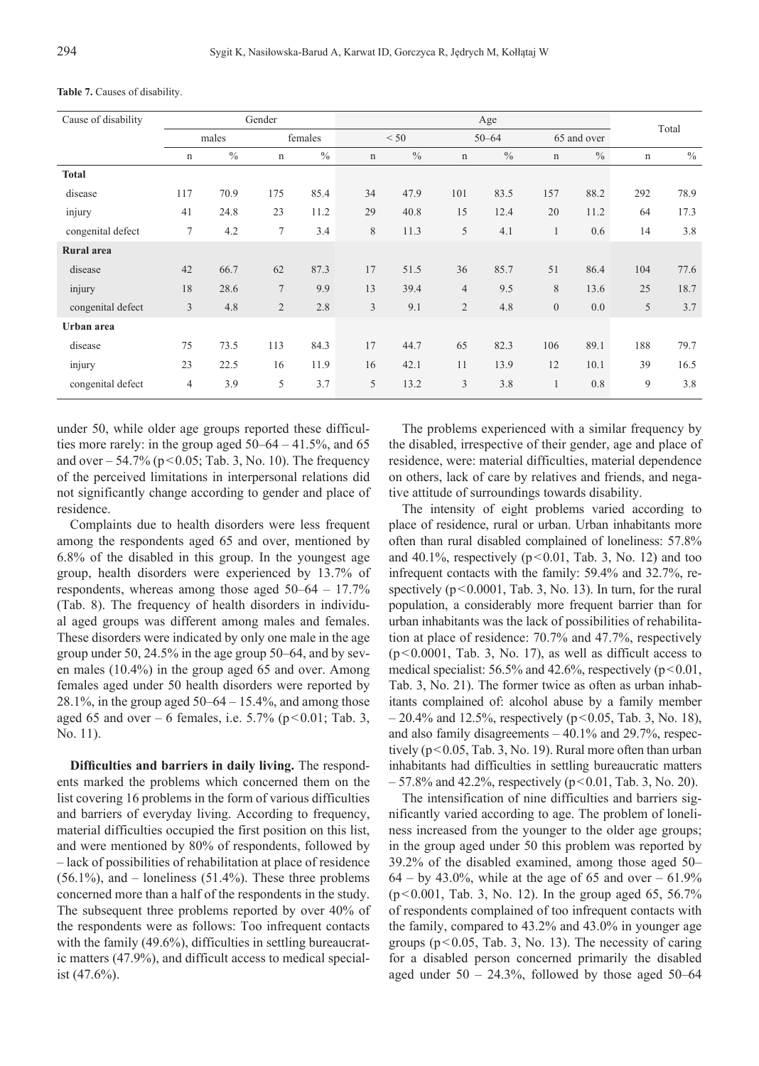| Cause of disability |                |       | Gender         |         |             | Total         |                |               |                  |             |     |               |
|---------------------|----------------|-------|----------------|---------|-------------|---------------|----------------|---------------|------------------|-------------|-----|---------------|
|                     |                | males |                | females |             | < 50          |                | $50 - 64$     |                  | 65 and over |     |               |
|                     | n              | $\%$  | n              | $\%$    | $\mathbf n$ | $\frac{0}{0}$ | $\mathbf n$    | $\frac{0}{0}$ | n                | $\%$        | n   | $\frac{0}{0}$ |
| <b>Total</b>        |                |       |                |         |             |               |                |               |                  |             |     |               |
| disease             | 117            | 70.9  | 175            | 85.4    | 34          | 47.9          | 101            | 83.5          | 157              | 88.2        | 292 | 78.9          |
| injury              | 41             | 24.8  | 23             | 11.2    | 29          | 40.8          | 15             | 12.4          | 20               | 11.2        | 64  | 17.3          |
| congenital defect   | 7              | 4.2   | 7              | 3.4     | 8           | 11.3          | 5              | 4.1           | 1                | 0.6         | 14  | 3.8           |
| <b>Rural</b> area   |                |       |                |         |             |               |                |               |                  |             |     |               |
| disease             | 42             | 66.7  | 62             | 87.3    | 17          | 51.5          | 36             | 85.7          | 51               | 86.4        | 104 | 77.6          |
| injury              | 18             | 28.6  | $\overline{7}$ | 9.9     | 13          | 39.4          | $\overline{4}$ | 9.5           | 8                | 13.6        | 25  | 18.7          |
| congenital defect   | $\overline{3}$ | 4.8   | $\overline{2}$ | 2.8     | 3           | 9.1           | $\overline{2}$ | 4.8           | $\boldsymbol{0}$ | 0.0         | 5   | 3.7           |
| Urban area          |                |       |                |         |             |               |                |               |                  |             |     |               |
| disease             | 75             | 73.5  | 113            | 84.3    | 17          | 44.7          | 65             | 82.3          | 106              | 89.1        | 188 | 79.7          |
| injury              | 23             | 22.5  | 16             | 11.9    | 16          | 42.1          | 11             | 13.9          | 12               | 10.1        | 39  | 16.5          |
| congenital defect   | 4              | 3.9   | 5              | 3.7     | 5           | 13.2          | 3              | 3.8           | 1                | 0.8         | 9   | 3.8           |

**Table 7.** Causes of disability.

under 50, while older age groups reported these difficulties more rarely: in the group aged 50–64 – 41.5%, and 65 and over  $-54.7\%$  (p  $\leq 0.05$ ; Tab. 3, No. 10). The frequency of the perceived limitations in interpersonal relations did not significantly change according to gender and place of residence.

Complaints due to health disorders were less frequent among the respondents aged 65 and over, mentioned by 6.8% of the disabled in this group. In the youngest age group, health disorders were experienced by 13.7% of respondents, whereas among those aged 50–64 – 17.7% (Tab. 8). The frequency of health disorders in individual aged groups was different among males and females. These disorders were indicated by only one male in the age group under 50, 24.5% in the age group 50–64, and by seven males (10.4%) in the group aged 65 and over. Among females aged under 50 health disorders were reported by 28.1%, in the group aged  $50-64 - 15.4$ %, and among those aged 65 and over – 6 females, i.e.  $5.7\%$  (p < 0.01; Tab. 3, No. 11).

**Difficulties and barriers in daily living.** The respondents marked the problems which concerned them on the list covering 16 problems in the form of various difficulties and barriers of everyday living. According to frequency, material difficulties occupied the first position on this list, and were mentioned by 80% of respondents, followed by – lack of possibilities of rehabilitation at place of residence  $(56.1\%)$ , and – loneliness  $(51.4\%)$ . These three problems concerned more than a half of the respondents in the study. The subsequent three problems reported by over 40% of the respondents were as follows: Too infrequent contacts with the family (49.6%), difficulties in settling bureaucratic matters (47.9%), and difficult access to medical specialist (47.6%).

The problems experienced with a similar frequency by the disabled, irrespective of their gender, age and place of residence, were: material difficulties, material dependence on others, lack of care by relatives and friends, and negative attitude of surroundings towards disability.

The intensity of eight problems varied according to place of residence, rural or urban. Urban inhabitants more often than rural disabled complained of loneliness: 57.8% and 40.1%, respectively  $(p<0.01,$  Tab. 3, No. 12) and too infrequent contacts with the family: 59.4% and 32.7%, respectively  $(p<0.0001,$  Tab. 3, No. 13). In turn, for the rural population, a considerably more frequent barrier than for urban inhabitants was the lack of possibilities of rehabilitation at place of residence: 70.7% and 47.7%, respectively  $(p<0.0001,$  Tab. 3, No. 17), as well as difficult access to medical specialist:  $56.5\%$  and  $42.6\%$ , respectively ( $p<0.01$ , Tab. 3, No. 21). The former twice as often as urban inhabitants complained of: alcohol abuse by a family member  $-20.4\%$  and 12.5%, respectively (p<0.05, Tab. 3, No. 18), and also family disagreements – 40.1% and 29.7%, respectively (p<0.05, Tab. 3, No. 19). Rural more often than urban inhabitants had difficulties in settling bureaucratic matters  $-57.8\%$  and 42.2%, respectively (p<0.01, Tab. 3, No. 20).

The intensification of nine difficulties and barriers significantly varied according to age. The problem of loneliness increased from the younger to the older age groups; in the group aged under 50 this problem was reported by 39.2% of the disabled examined, among those aged 50–  $64 - by 43.0\%$ , while at the age of 65 and over  $-61.9\%$  $(p<0.001,$  Tab. 3, No. 12). In the group aged 65, 56.7% of respondents complained of too infrequent contacts with the family, compared to 43.2% and 43.0% in younger age groups ( $p < 0.05$ , Tab. 3, No. 13). The necessity of caring for a disabled person concerned primarily the disabled aged under  $50 - 24.3\%$ , followed by those aged  $50-64$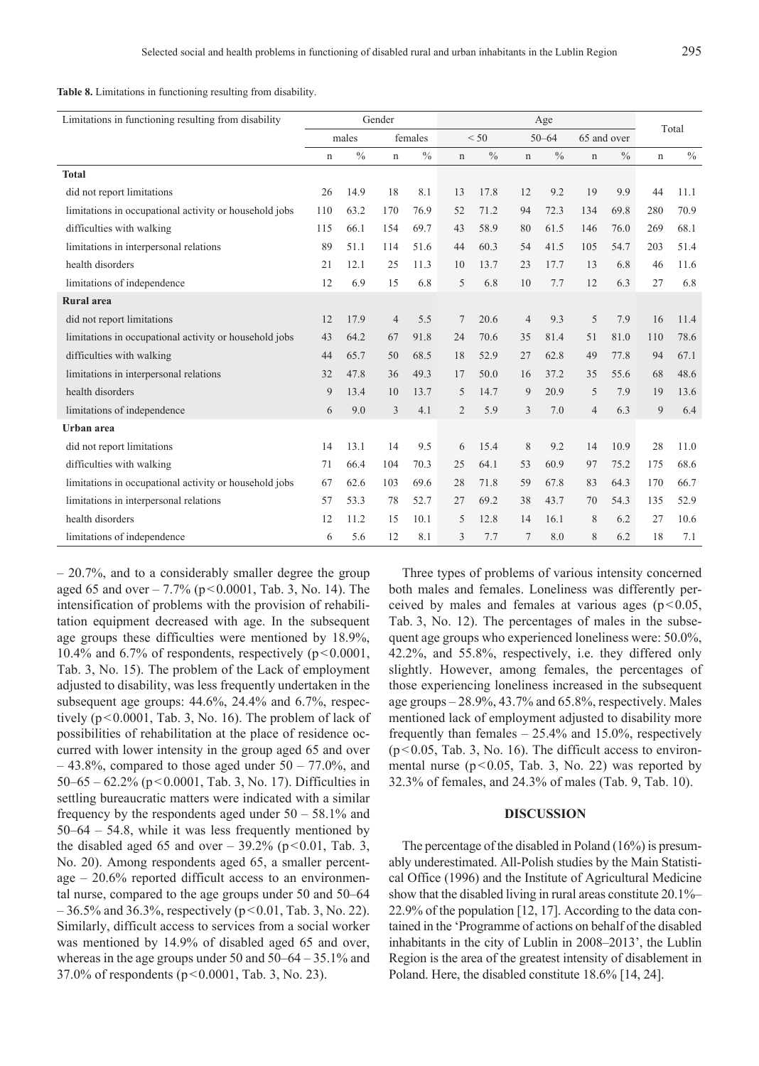**Table 8.** Limitations in functioning resulting from disability.

| Limitations in functioning resulting from disability   | Gender      |       |                |         | Age            |      |                |               |             |               | Total |               |
|--------------------------------------------------------|-------------|-------|----------------|---------|----------------|------|----------------|---------------|-------------|---------------|-------|---------------|
|                                                        |             | males |                | females |                | < 50 |                | $50 - 64$     |             | 65 and over   |       |               |
|                                                        | $\mathbf n$ | $\%$  | $\mathbf n$    | $\%$    | $\mathbf n$    | $\%$ | $\mathbf n$    | $\frac{0}{0}$ | $\mathbf n$ | $\frac{0}{0}$ | n     | $\frac{0}{0}$ |
| <b>Total</b>                                           |             |       |                |         |                |      |                |               |             |               |       |               |
| did not report limitations                             | 26          | 14.9  | 18             | 8.1     | 13             | 17.8 | 12             | 9.2           | 19          | 9.9           | 44    | 11.1          |
| limitations in occupational activity or household jobs | 110         | 63.2  | 170            | 76.9    | 52             | 71.2 | 94             | 72.3          | 134         | 69.8          | 280   | 70.9          |
| difficulties with walking                              | 115         | 66.1  | 154            | 69.7    | 43             | 58.9 | 80             | 61.5          | 146         | 76.0          | 269   | 68.1          |
| limitations in interpersonal relations                 | 89          | 51.1  | 114            | 51.6    | 44             | 60.3 | 54             | 41.5          | 105         | 54.7          | 203   | 51.4          |
| health disorders                                       | 21          | 12.1  | 25             | 11.3    | 10             | 13.7 | 23             | 17.7          | 13          | 6.8           | 46    | 11.6          |
| limitations of independence                            | 12          | 6.9   | 15             | 6.8     | 5              | 6.8  | 10             | 7.7           | 12          | 6.3           | 27    | 6.8           |
| <b>Rural</b> area                                      |             |       |                |         |                |      |                |               |             |               |       |               |
| did not report limitations                             | 12          | 17.9  | $\overline{4}$ | 5.5     | 7              | 20.6 | $\overline{4}$ | 9.3           | 5           | 7.9           | 16    | 11.4          |
| limitations in occupational activity or household jobs | 43          | 64.2  | 67             | 91.8    | 24             | 70.6 | 35             | 81.4          | 51          | 81.0          | 110   | 78.6          |
| difficulties with walking                              | 44          | 65.7  | 50             | 68.5    | 18             | 52.9 | 27             | 62.8          | 49          | 77.8          | 94    | 67.1          |
| limitations in interpersonal relations                 | 32          | 47.8  | 36             | 49.3    | 17             | 50.0 | 16             | 37.2          | 35          | 55.6          | 68    | 48.6          |
| health disorders                                       | 9           | 13.4  | 10             | 13.7    | 5              | 14.7 | 9              | 20.9          | 5           | 7.9           | 19    | 13.6          |
| limitations of independence                            | 6           | 9.0   | 3              | 4.1     | $\overline{2}$ | 5.9  | 3              | 7.0           | 4           | 6.3           | 9     | 6.4           |
| Urban area                                             |             |       |                |         |                |      |                |               |             |               |       |               |
| did not report limitations                             | 14          | 13.1  | 14             | 9.5     | 6              | 15.4 | 8              | 9.2           | 14          | 10.9          | 28    | 11.0          |
| difficulties with walking                              | 71          | 66.4  | 104            | 70.3    | 25             | 64.1 | 53             | 60.9          | 97          | 75.2          | 175   | 68.6          |
| limitations in occupational activity or household jobs | 67          | 62.6  | 103            | 69.6    | 28             | 71.8 | 59             | 67.8          | 83          | 64.3          | 170   | 66.7          |
| limitations in interpersonal relations                 | 57          | 53.3  | 78             | 52.7    | 27             | 69.2 | 38             | 43.7          | 70          | 54.3          | 135   | 52.9          |
| health disorders                                       | 12          | 11.2  | 15             | 10.1    | 5              | 12.8 | 14             | 16.1          | 8           | 6.2           | 27    | 10.6          |
| limitations of independence                            | 6           | 5.6   | 12             | 8.1     | 3              | 7.7  | 7              | 8.0           | 8           | 6.2           | 18    | 7.1           |

– 20.7%, and to a considerably smaller degree the group aged 65 and over  $-7.7\%$  (p < 0.0001, Tab. 3, No. 14). The intensification of problems with the provision of rehabilitation equipment decreased with age. In the subsequent age groups these difficulties were mentioned by 18.9%, 10.4% and 6.7% of respondents, respectively  $(p<0.0001,$ Tab. 3, No. 15). The problem of the Lack of employment adjusted to disability, was less frequently undertaken in the subsequent age groups: 44.6%, 24.4% and 6.7%, respectively (p<0.0001, Tab. 3, No. 16). The problem of lack of possibilities of rehabilitation at the place of residence occurred with lower intensity in the group aged 65 and over  $-43.8\%$ , compared to those aged under  $50 - 77.0\%$ , and 50–65 – 62.2% (p<0.0001, Tab. 3, No. 17). Difficulties in settling bureaucratic matters were indicated with a similar frequency by the respondents aged under  $50 - 58.1\%$  and 50–64 – 54.8, while it was less frequently mentioned by the disabled aged 65 and over  $-$  39.2% (p < 0.01, Tab. 3, No. 20). Among respondents aged 65, a smaller percentage – 20.6% reported difficult access to an environmental nurse, compared to the age groups under 50 and 50–64  $-36.5\%$  and 36.3%, respectively (p<0.01, Tab. 3, No. 22). Similarly, difficult access to services from a social worker was mentioned by 14.9% of disabled aged 65 and over, whereas in the age groups under 50 and 50–64 – 35.1% and 37.0% of respondents ( $p < 0.0001$ , Tab. 3, No. 23).

Three types of problems of various intensity concerned both males and females. Loneliness was differently perceived by males and females at various ages ( $p$  < 0.05, Tab. 3, No. 12). The percentages of males in the subsequent age groups who experienced loneliness were: 50.0%, 42.2%, and 55.8%, respectively, i.e. they differed only slightly. However, among females, the percentages of those experiencing loneliness increased in the subsequent age groups – 28.9%, 43.7% and 65.8%, respectively. Males mentioned lack of employment adjusted to disability more frequently than females  $-25.4\%$  and 15.0%, respectively  $(p<0.05,$  Tab. 3, No. 16). The difficult access to environmental nurse ( $p < 0.05$ , Tab. 3, No. 22) was reported by 32.3% of females, and 24.3% of males (Tab. 9, Tab. 10).

#### **DISCUSSION**

The percentage of the disabled in Poland (16%) is presumably underestimated. All-Polish studies by the Main Statistical Office (1996) and the Institute of Agricultural Medicine show that the disabled living in rural areas constitute 20.1%– 22.9% of the population [12, 17]. According to the data contained in the 'Programme of actions on behalf of the disabled inhabitants in the city of Lublin in 2008–2013', the Lublin Region is the area of the greatest intensity of disablement in Poland. Here, the disabled constitute 18.6% [14, 24].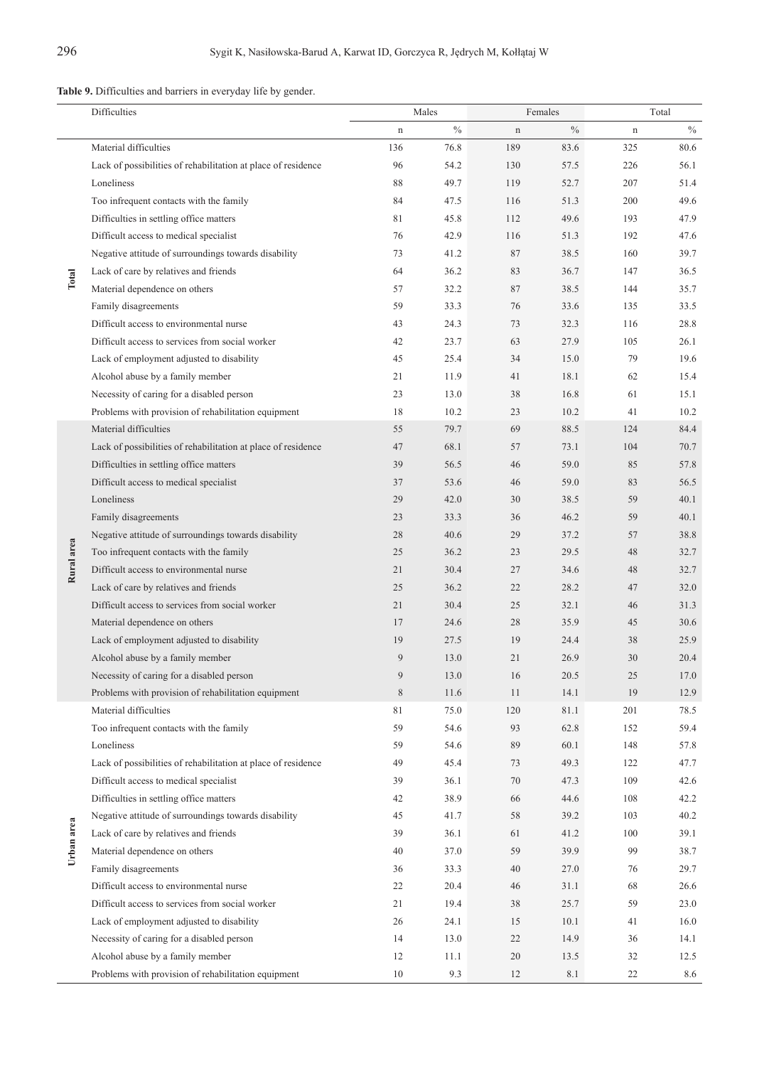**Table 9.** Difficulties and barriers in everyday life by gender.

|            | Difficulties                                                  |             | Males |         | Females |             | Total |
|------------|---------------------------------------------------------------|-------------|-------|---------|---------|-------------|-------|
|            |                                                               | $\mathbf n$ | $\%$  | $\bf n$ | $\%$    | $\mathbf n$ | $\%$  |
|            | Material difficulties                                         | 136         | 76.8  | 189     | 83.6    | 325         | 80.6  |
|            | Lack of possibilities of rehabilitation at place of residence | 96          | 54.2  | 130     | 57.5    | 226         | 56.1  |
|            | Loneliness                                                    | 88          | 49.7  | 119     | 52.7    | 207         | 51.4  |
|            | Too infrequent contacts with the family                       | 84          | 47.5  | 116     | 51.3    | 200         | 49.6  |
|            | Difficulties in settling office matters                       | 81          | 45.8  | 112     | 49.6    | 193         | 47.9  |
|            | Difficult access to medical specialist                        | 76          | 42.9  | 116     | 51.3    | 192         | 47.6  |
|            | Negative attitude of surroundings towards disability          | 73          | 41.2  | 87      | 38.5    | 160         | 39.7  |
| Total      | Lack of care by relatives and friends                         | 64          | 36.2  | 83      | 36.7    | 147         | 36.5  |
|            | Material dependence on others                                 | 57          | 32.2  | 87      | 38.5    | 144         | 35.7  |
|            | Family disagreements                                          | 59          | 33.3  | 76      | 33.6    | 135         | 33.5  |
|            | Difficult access to environmental nurse                       | 43          | 24.3  | 73      | 32.3    | 116         | 28.8  |
|            | Difficult access to services from social worker               | 42          | 23.7  | 63      | 27.9    | 105         | 26.1  |
|            | Lack of employment adjusted to disability                     | 45          | 25.4  | 34      | 15.0    | 79          | 19.6  |
|            | Alcohol abuse by a family member                              | 21          | 11.9  | 41      | 18.1    | 62          | 15.4  |
|            | Necessity of caring for a disabled person                     | 23          | 13.0  | 38      | 16.8    | 61          | 15.1  |
|            | Problems with provision of rehabilitation equipment           | 18          | 10.2  | 23      | 10.2    | 41          | 10.2  |
|            | Material difficulties                                         | 55          | 79.7  | 69      | 88.5    | 124         | 84.4  |
|            | Lack of possibilities of rehabilitation at place of residence | 47          | 68.1  | 57      | 73.1    | 104         | 70.7  |
|            | Difficulties in settling office matters                       | 39          | 56.5  | 46      | 59.0    | 85          | 57.8  |
|            | Difficult access to medical specialist                        | 37          | 53.6  | 46      | 59.0    | 83          | 56.5  |
|            | Loneliness                                                    | 29          | 42.0  | 30      | 38.5    | 59          | 40.1  |
|            | Family disagreements                                          | 23          | 33.3  | 36      | 46.2    | 59          | 40.1  |
|            | Negative attitude of surroundings towards disability          | 28          | 40.6  | 29      | 37.2    | 57          | 38.8  |
| Rural area | Too infrequent contacts with the family                       | 25          | 36.2  | 23      | 29.5    | 48          | 32.7  |
|            | Difficult access to environmental nurse                       | 21          | 30.4  | 27      | 34.6    | 48          | 32.7  |
|            | Lack of care by relatives and friends                         | 25          | 36.2  | 22      | 28.2    | 47          | 32.0  |
|            | Difficult access to services from social worker               | 21          | 30.4  | 25      | 32.1    | 46          | 31.3  |
|            | Material dependence on others                                 | 17          | 24.6  | 28      | 35.9    | 45          | 30.6  |
|            | Lack of employment adjusted to disability                     | 19          | 27.5  | 19      | 24.4    | 38          | 25.9  |
|            | Alcohol abuse by a family member                              | 9           | 13.0  | 21      | 26.9    | 30          | 20.4  |
|            | Necessity of caring for a disabled person                     | 9           | 13.0  | 16      | 20.5    | 25          | 17.0  |
|            | Problems with provision of rehabilitation equipment           | 8           | 11.6  | 11      | 14.1    | 19          | 12.9  |
|            | Material difficulties                                         | 81          | 75.0  | 120     | 81.1    | 201         | 78.5  |
|            | Too infrequent contacts with the family                       | 59          | 54.6  | 93      | 62.8    | 152         | 59.4  |
|            | Loneliness                                                    | 59          | 54.6  | 89      | 60.1    | 148         | 57.8  |
|            | Lack of possibilities of rehabilitation at place of residence | 49          | 45.4  | 73      | 49.3    | 122         | 47.7  |
|            | Difficult access to medical specialist                        | 39          | 36.1  | 70      | 47.3    | 109         | 42.6  |
|            | Difficulties in settling office matters                       | 42          | 38.9  | 66      | 44.6    | 108         | 42.2  |
|            | Negative attitude of surroundings towards disability          | 45          | 41.7  | 58      | 39.2    | 103         | 40.2  |
| Urban area | Lack of care by relatives and friends                         | 39          | 36.1  | 61      | 41.2    | 100         | 39.1  |
|            | Material dependence on others                                 | 40          | 37.0  | 59      | 39.9    | 99          | 38.7  |
|            | Family disagreements                                          | 36          | 33.3  | 40      | 27.0    | 76          | 29.7  |
|            | Difficult access to environmental nurse                       | 22          | 20.4  | 46      | 31.1    | 68          | 26.6  |
|            | Difficult access to services from social worker               | 21          | 19.4  | 38      | 25.7    | 59          | 23.0  |
|            | Lack of employment adjusted to disability                     | 26          | 24.1  | 15      | 10.1    | 41          | 16.0  |
|            | Necessity of caring for a disabled person                     | 14          | 13.0  | 22      | 14.9    | 36          | 14.1  |
|            | Alcohol abuse by a family member                              | 12          | 11.1  | 20      | 13.5    | 32          | 12.5  |
|            | Problems with provision of rehabilitation equipment           | 10          | 9.3   | 12      | 8.1     | 22          | 8.6   |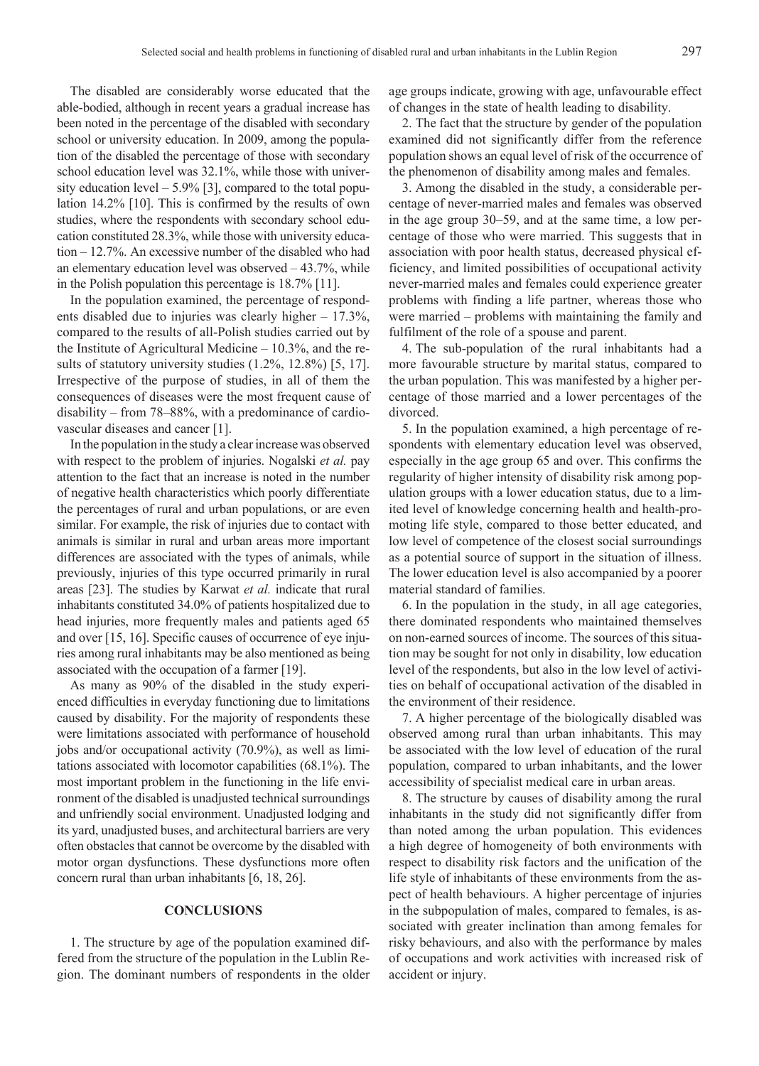The disabled are considerably worse educated that the able-bodied, although in recent years a gradual increase has been noted in the percentage of the disabled with secondary school or university education. In 2009, among the population of the disabled the percentage of those with secondary school education level was 32.1%, while those with university education level  $-5.9\%$  [3], compared to the total population 14.2% [10]. This is confirmed by the results of own studies, where the respondents with secondary school education constituted 28.3%, while those with university education – 12.7%. An excessive number of the disabled who had an elementary education level was observed  $-43.7\%$ , while in the Polish population this percentage is 18.7% [11].

In the population examined, the percentage of respondents disabled due to injuries was clearly higher – 17.3%, compared to the results of all-Polish studies carried out by the Institute of Agricultural Medicine – 10.3%, and the results of statutory university studies (1.2%, 12.8%) [5, 17]. Irrespective of the purpose of studies, in all of them the consequences of diseases were the most frequent cause of disability – from 78–88%, with a predominance of cardiovascular diseases and cancer [1].

In the population in the study a clear increase was observed with respect to the problem of injuries. Nogalski *et al.* pay attention to the fact that an increase is noted in the number of negative health characteristics which poorly differentiate the percentages of rural and urban populations, or are even similar. For example, the risk of injuries due to contact with animals is similar in rural and urban areas more important differences are associated with the types of animals, while previously, injuries of this type occurred primarily in rural areas [23]. The studies by Karwat *et al.* indicate that rural inhabitants constituted 34.0% of patients hospitalized due to head injuries, more frequently males and patients aged 65 and over [15, 16]. Specific causes of occurrence of eye injuries among rural inhabitants may be also mentioned as being associated with the occupation of a farmer [19].

As many as 90% of the disabled in the study experienced difficulties in everyday functioning due to limitations caused by disability. For the majority of respondents these were limitations associated with performance of household jobs and/or occupational activity (70.9%), as well as limitations associated with locomotor capabilities (68.1%). The most important problem in the functioning in the life environment of the disabled is unadjusted technical surroundings and unfriendly social environment. Unadjusted lodging and its yard, unadjusted buses, and architectural barriers are very often obstacles that cannot be overcome by the disabled with motor organ dysfunctions. These dysfunctions more often concern rural than urban inhabitants [6, 18, 26].

## **Conclusions**

1. The structure by age of the population examined differed from the structure of the population in the Lublin Region. The dominant numbers of respondents in the older age groups indicate, growing with age, unfavourable effect of changes in the state of health leading to disability.

2. The fact that the structure by gender of the population examined did not significantly differ from the reference population shows an equal level of risk of the occurrence of the phenomenon of disability among males and females.

3. Among the disabled in the study, a considerable percentage of never-married males and females was observed in the age group 30–59, and at the same time, a low percentage of those who were married. This suggests that in association with poor health status, decreased physical efficiency, and limited possibilities of occupational activity never-married males and females could experience greater problems with finding a life partner, whereas those who were married – problems with maintaining the family and fulfilment of the role of a spouse and parent.

4. The sub-population of the rural inhabitants had a more favourable structure by marital status, compared to the urban population. This was manifested by a higher percentage of those married and a lower percentages of the divorced.

5. In the population examined, a high percentage of respondents with elementary education level was observed, especially in the age group 65 and over. This confirms the regularity of higher intensity of disability risk among population groups with a lower education status, due to a limited level of knowledge concerning health and health-promoting life style, compared to those better educated, and low level of competence of the closest social surroundings as a potential source of support in the situation of illness. The lower education level is also accompanied by a poorer material standard of families.

6. In the population in the study, in all age categories, there dominated respondents who maintained themselves on non-earned sources of income. The sources of this situation may be sought for not only in disability, low education level of the respondents, but also in the low level of activities on behalf of occupational activation of the disabled in the environment of their residence.

7. A higher percentage of the biologically disabled was observed among rural than urban inhabitants. This may be associated with the low level of education of the rural population, compared to urban inhabitants, and the lower accessibility of specialist medical care in urban areas.

8. The structure by causes of disability among the rural inhabitants in the study did not significantly differ from than noted among the urban population. This evidences a high degree of homogeneity of both environments with respect to disability risk factors and the unification of the life style of inhabitants of these environments from the aspect of health behaviours. A higher percentage of injuries in the subpopulation of males, compared to females, is associated with greater inclination than among females for risky behaviours, and also with the performance by males of occupations and work activities with increased risk of accident or injury.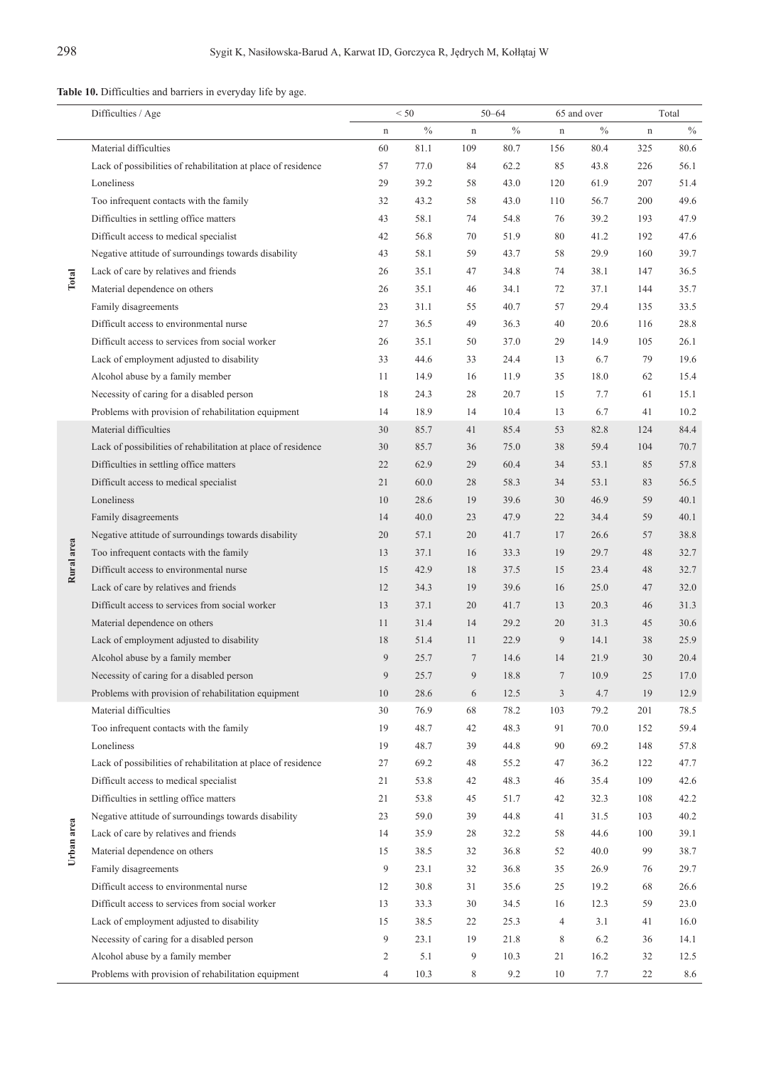**Table 10.** Difficulties and barriers in everyday life by age.

|            | Difficulties / Age                                            | < 50           |               | $50 - 64$   |      | 65 and over    |               | Total       |      |
|------------|---------------------------------------------------------------|----------------|---------------|-------------|------|----------------|---------------|-------------|------|
|            |                                                               | $\mathbf n$    | $\frac{0}{0}$ | $\mathbf n$ | $\%$ | $\mathbf n$    | $\frac{0}{0}$ | $\mathbf n$ | $\%$ |
| Total      | Material difficulties                                         | 60             | 81.1          | 109         | 80.7 | 156            | 80.4          | 325         | 80.6 |
|            | Lack of possibilities of rehabilitation at place of residence | 57             | 77.0          | 84          | 62.2 | 85             | 43.8          | 226         | 56.1 |
|            | Loneliness                                                    | 29             | 39.2          | 58          | 43.0 | 120            | 61.9          | 207         | 51.4 |
|            | Too infrequent contacts with the family                       | 32             | 43.2          | 58          | 43.0 | 110            | 56.7          | 200         | 49.6 |
|            | Difficulties in settling office matters                       | 43             | 58.1          | 74          | 54.8 | 76             | 39.2          | 193         | 47.9 |
|            | Difficult access to medical specialist                        | 42             | 56.8          | 70          | 51.9 | 80             | 41.2          | 192         | 47.6 |
|            | Negative attitude of surroundings towards disability          | 43             | 58.1          | 59          | 43.7 | 58             | 29.9          | 160         | 39.7 |
|            | Lack of care by relatives and friends                         | 26             | 35.1          | 47          | 34.8 | 74             | 38.1          | 147         | 36.5 |
|            | Material dependence on others                                 | 26             | 35.1          | 46          | 34.1 | 72             | 37.1          | 144         | 35.7 |
|            | Family disagreements                                          | 23             | 31.1          | 55          | 40.7 | 57             | 29.4          | 135         | 33.5 |
|            | Difficult access to environmental nurse                       | 27             | 36.5          | 49          | 36.3 | 40             | 20.6          | 116         | 28.8 |
|            | Difficult access to services from social worker               | 26             | 35.1          | 50          | 37.0 | 29             | 14.9          | 105         | 26.1 |
|            | Lack of employment adjusted to disability                     | 33             | 44.6          | 33          | 24.4 | 13             | 6.7           | 79          | 19.6 |
|            | Alcohol abuse by a family member                              | 11             | 14.9          | 16          | 11.9 | 35             | 18.0          | 62          | 15.4 |
|            | Necessity of caring for a disabled person                     | 18             | 24.3          | 28          | 20.7 | 15             | 7.7           | 61          | 15.1 |
|            | Problems with provision of rehabilitation equipment           | 14             | 18.9          | 14          | 10.4 | 13             | 6.7           | 41          | 10.2 |
| Rural area | Material difficulties                                         | 30             | 85.7          | 41          | 85.4 | 53             | 82.8          | 124         | 84.4 |
|            | Lack of possibilities of rehabilitation at place of residence | 30             | 85.7          | 36          | 75.0 | 38             | 59.4          | 104         | 70.7 |
|            | Difficulties in settling office matters                       | 22             | 62.9          | 29          | 60.4 | 34             | 53.1          | 85          | 57.8 |
|            | Difficult access to medical specialist                        | 21             | 60.0          | 28          | 58.3 | 34             | 53.1          | 83          | 56.5 |
|            | Loneliness                                                    | 10             | 28.6          | 19          | 39.6 | 30             | 46.9          | 59          | 40.1 |
|            | Family disagreements                                          | 14             | 40.0          | 23          | 47.9 | 22             | 34.4          | 59          | 40.1 |
|            | Negative attitude of surroundings towards disability          | 20             | 57.1          | 20          | 41.7 | 17             | 26.6          | 57          | 38.8 |
|            | Too infrequent contacts with the family                       | 13             | 37.1          | 16          | 33.3 | 19             | 29.7          | 48          | 32.7 |
|            | Difficult access to environmental nurse                       | 15             | 42.9          | 18          | 37.5 | 15             | 23.4          | 48          | 32.7 |
|            | Lack of care by relatives and friends                         | 12             | 34.3          | 19          | 39.6 | 16             | 25.0          | 47          | 32.0 |
|            | Difficult access to services from social worker               | 13             | 37.1          | 20          | 41.7 | 13             | 20.3          | 46          | 31.3 |
|            | Material dependence on others                                 | 11             | 31.4          | 14          | 29.2 | 20             | 31.3          | 45          | 30.6 |
|            | Lack of employment adjusted to disability                     | 18             | 51.4          | 11          | 22.9 | $\overline{9}$ | 14.1          | 38          | 25.9 |
|            | Alcohol abuse by a family member                              | 9              | 25.7          | 7           | 14.6 | 14             | 21.9          | 30          | 20.4 |
|            | Necessity of caring for a disabled person                     | $\overline{9}$ | 25.7          | 9           | 18.8 | $\tau$         | 10.9          | 25          | 17.0 |
|            | Problems with provision of rehabilitation equipment           | 10             | 28.6          | 6           | 12.5 | 3              | 4.7           | 19          | 12.9 |
| Urban area | Material difficulties                                         | 30             | 76.9          | 68          | 78.2 | 103            | 79.2          | 201         | 78.5 |
|            | Too infrequent contacts with the family                       | 19             | 48.7          | 42          | 48.3 | 91             | 70.0          | 152         | 59.4 |
|            | Loneliness                                                    | 19             | 48.7          | 39          | 44.8 | 90             | 69.2          | 148         | 57.8 |
|            | Lack of possibilities of rehabilitation at place of residence | 27             | 69.2          | 48          | 55.2 | 47             | 36.2          | 122         | 47.7 |
|            | Difficult access to medical specialist                        | 21             | 53.8          | 42          | 48.3 | 46             | 35.4          | 109         | 42.6 |
|            | Difficulties in settling office matters                       | 21             | 53.8          | 45          | 51.7 | 42             | 32.3          | 108         | 42.2 |
|            | Negative attitude of surroundings towards disability          | 23             | 59.0          | 39          | 44.8 | 41             | 31.5          | 103         | 40.2 |
|            | Lack of care by relatives and friends                         | 14             | 35.9          | 28          | 32.2 | 58             | 44.6          | 100         | 39.1 |
|            | Material dependence on others                                 | 15             | 38.5          | 32          | 36.8 | 52             | 40.0          | 99          | 38.7 |
|            | Family disagreements                                          | 9              | 23.1          | 32          | 36.8 | 35             | 26.9          | 76          | 29.7 |
|            | Difficult access to environmental nurse                       | 12             | 30.8          | 31          | 35.6 | 25             | 19.2          | 68          | 26.6 |
|            | Difficult access to services from social worker               | 13             | 33.3          | 30          | 34.5 | 16             | 12.3          | 59          | 23.0 |
|            | Lack of employment adjusted to disability                     | 15             | 38.5          | 22          | 25.3 | $\overline{4}$ | 3.1           | 41          | 16.0 |
|            | Necessity of caring for a disabled person                     | 9              | 23.1          | 19          | 21.8 | 8              | 6.2           | 36          | 14.1 |
|            | Alcohol abuse by a family member                              | $\overline{c}$ | 5.1           | 9           | 10.3 | 21             | 16.2          | 32          | 12.5 |
|            | Problems with provision of rehabilitation equipment           | $\overline{4}$ | 10.3          | 8           | 9.2  | 10             | 7.7           | 22          | 8.6  |